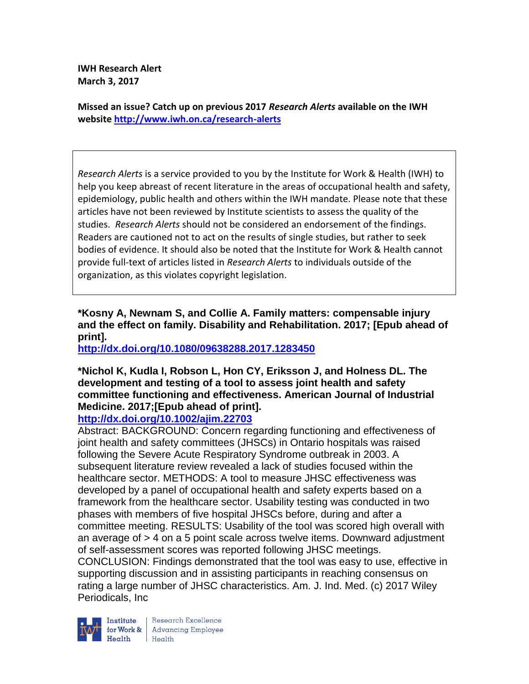**IWH Research Alert March 3, 2017**

**Missed an issue? Catch up on previous 2017** *Research Alerts* **available on the [IWH](http://www.iwh.on.ca/research-alerts)  [website](http://www.iwh.on.ca/research-alerts) <http://www.iwh.on.ca/research-alerts>**

*Research Alerts* is a service provided to you by the Institute for Work & Health (IWH) to help you keep abreast of recent literature in the areas of occupational health and safety, epidemiology, public health and others within the IWH mandate. Please note that these articles have not been reviewed by Institute scientists to assess the quality of the studies. *Research Alerts* should not be considered an endorsement of the findings. Readers are cautioned not to act on the results of single studies, but rather to seek bodies of evidence. It should also be noted that the Institute for Work & Health cannot provide full-text of articles listed in *Research Alerts* to individuals outside of the organization, as this violates copyright legislation.

# **\*Kosny A, Newnam S, and Collie A. Family matters: compensable injury and the effect on family. Disability and Rehabilitation. 2017; [Epub ahead of print].**

**<http://dx.doi.org/10.1080/09638288.2017.1283450>**

#### **\*Nichol K, Kudla I, Robson L, Hon CY, Eriksson J, and Holness DL. The development and testing of a tool to assess joint health and safety committee functioning and effectiveness. American Journal of Industrial Medicine. 2017;[Epub ahead of print].**

# **<http://dx.doi.org/10.1002/ajim.22703>**

Abstract: BACKGROUND: Concern regarding functioning and effectiveness of joint health and safety committees (JHSCs) in Ontario hospitals was raised following the Severe Acute Respiratory Syndrome outbreak in 2003. A subsequent literature review revealed a lack of studies focused within the healthcare sector. METHODS: A tool to measure JHSC effectiveness was developed by a panel of occupational health and safety experts based on a framework from the healthcare sector. Usability testing was conducted in two phases with members of five hospital JHSCs before, during and after a committee meeting. RESULTS: Usability of the tool was scored high overall with an average of > 4 on a 5 point scale across twelve items. Downward adjustment of self-assessment scores was reported following JHSC meetings.

CONCLUSION: Findings demonstrated that the tool was easy to use, effective in supporting discussion and in assisting participants in reaching consensus on rating a large number of JHSC characteristics. Am. J. Ind. Med. (c) 2017 Wiley Periodicals, Inc

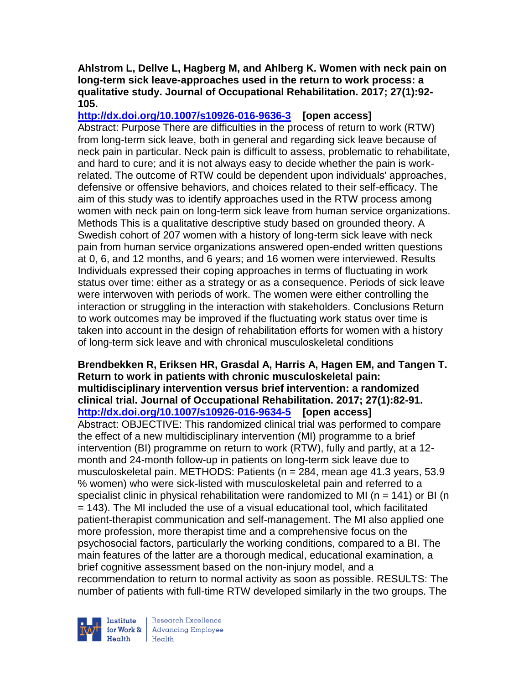#### **Ahlstrom L, Dellve L, Hagberg M, and Ahlberg K. Women with neck pain on long-term sick leave-approaches used in the return to work process: a qualitative study. Journal of Occupational Rehabilitation. 2017; 27(1):92- 105.**

**<http://dx.doi.org/10.1007/s10926-016-9636-3>[open access]** Abstract: Purpose There are difficulties in the process of return to work (RTW) from long-term sick leave, both in general and regarding sick leave because of neck pain in particular. Neck pain is difficult to assess, problematic to rehabilitate, and hard to cure; and it is not always easy to decide whether the pain is workrelated. The outcome of RTW could be dependent upon individuals' approaches, defensive or offensive behaviors, and choices related to their self-efficacy. The aim of this study was to identify approaches used in the RTW process among women with neck pain on long-term sick leave from human service organizations. Methods This is a qualitative descriptive study based on grounded theory. A Swedish cohort of 207 women with a history of long-term sick leave with neck pain from human service organizations answered open-ended written questions at 0, 6, and 12 months, and 6 years; and 16 women were interviewed. Results Individuals expressed their coping approaches in terms of fluctuating in work status over time: either as a strategy or as a consequence. Periods of sick leave were interwoven with periods of work. The women were either controlling the interaction or struggling in the interaction with stakeholders. Conclusions Return to work outcomes may be improved if the fluctuating work status over time is taken into account in the design of rehabilitation efforts for women with a history of long-term sick leave and with chronical musculoskeletal conditions

**Brendbekken R, Eriksen HR, Grasdal A, Harris A, Hagen EM, and Tangen T. Return to work in patients with chronic musculoskeletal pain: multidisciplinary intervention versus brief intervention: a randomized clinical trial. Journal of Occupational Rehabilitation. 2017; 27(1):82-91. <http://dx.doi.org/10.1007/s10926-016-9634-5>[open access]** Abstract: OBJECTIVE: This randomized clinical trial was performed to compare the effect of a new multidisciplinary intervention (MI) programme to a brief intervention (BI) programme on return to work (RTW), fully and partly, at a 12 month and 24-month follow-up in patients on long-term sick leave due to musculoskeletal pain. METHODS: Patients (n = 284, mean age 41.3 years, 53.9 % women) who were sick-listed with musculoskeletal pain and referred to a specialist clinic in physical rehabilitation were randomized to MI ( $n = 141$ ) or BI (n = 143). The MI included the use of a visual educational tool, which facilitated patient-therapist communication and self-management. The MI also applied one more profession, more therapist time and a comprehensive focus on the psychosocial factors, particularly the working conditions, compared to a BI. The main features of the latter are a thorough medical, educational examination, a brief cognitive assessment based on the non-injury model, and a recommendation to return to normal activity as soon as possible. RESULTS: The number of patients with full-time RTW developed similarly in the two groups. The

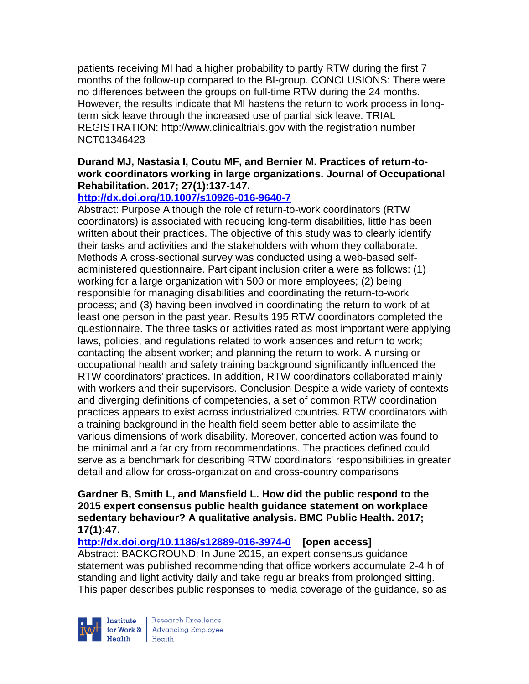patients receiving MI had a higher probability to partly RTW during the first 7 months of the follow-up compared to the BI-group. CONCLUSIONS: There were no differences between the groups on full-time RTW during the 24 months. However, the results indicate that MI hastens the return to work process in longterm sick leave through the increased use of partial sick leave. TRIAL REGISTRATION: http://www.clinicaltrials.gov with the registration number NCT01346423

#### **Durand MJ, Nastasia I, Coutu MF, and Bernier M. Practices of return-towork coordinators working in large organizations. Journal of Occupational Rehabilitation. 2017; 27(1):137-147.**

#### **<http://dx.doi.org/10.1007/s10926-016-9640-7>**

Abstract: Purpose Although the role of return-to-work coordinators (RTW coordinators) is associated with reducing long-term disabilities, little has been written about their practices. The objective of this study was to clearly identify their tasks and activities and the stakeholders with whom they collaborate. Methods A cross-sectional survey was conducted using a web-based selfadministered questionnaire. Participant inclusion criteria were as follows: (1) working for a large organization with 500 or more employees; (2) being responsible for managing disabilities and coordinating the return-to-work process; and (3) having been involved in coordinating the return to work of at least one person in the past year. Results 195 RTW coordinators completed the questionnaire. The three tasks or activities rated as most important were applying laws, policies, and regulations related to work absences and return to work; contacting the absent worker; and planning the return to work. A nursing or occupational health and safety training background significantly influenced the RTW coordinators' practices. In addition, RTW coordinators collaborated mainly with workers and their supervisors. Conclusion Despite a wide variety of contexts and diverging definitions of competencies, a set of common RTW coordination practices appears to exist across industrialized countries. RTW coordinators with a training background in the health field seem better able to assimilate the various dimensions of work disability. Moreover, concerted action was found to be minimal and a far cry from recommendations. The practices defined could serve as a benchmark for describing RTW coordinators' responsibilities in greater detail and allow for cross-organization and cross-country comparisons

#### **Gardner B, Smith L, and Mansfield L. How did the public respond to the 2015 expert consensus public health guidance statement on workplace sedentary behaviour? A qualitative analysis. BMC Public Health. 2017; 17(1):47.**

# **<http://dx.doi.org/10.1186/s12889-016-3974-0>[open access]**

Abstract: BACKGROUND: In June 2015, an expert consensus guidance statement was published recommending that office workers accumulate 2-4 h of standing and light activity daily and take regular breaks from prolonged sitting. This paper describes public responses to media coverage of the guidance, so as



Research Excellence Finantium<br>
for Work & Advancing Employee<br>
Health Health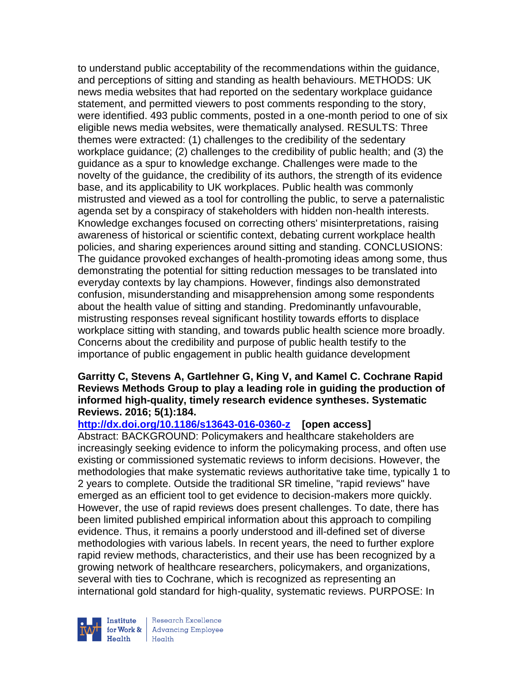to understand public acceptability of the recommendations within the guidance, and perceptions of sitting and standing as health behaviours. METHODS: UK news media websites that had reported on the sedentary workplace guidance statement, and permitted viewers to post comments responding to the story, were identified. 493 public comments, posted in a one-month period to one of six eligible news media websites, were thematically analysed. RESULTS: Three themes were extracted: (1) challenges to the credibility of the sedentary workplace guidance; (2) challenges to the credibility of public health; and (3) the guidance as a spur to knowledge exchange. Challenges were made to the novelty of the guidance, the credibility of its authors, the strength of its evidence base, and its applicability to UK workplaces. Public health was commonly mistrusted and viewed as a tool for controlling the public, to serve a paternalistic agenda set by a conspiracy of stakeholders with hidden non-health interests. Knowledge exchanges focused on correcting others' misinterpretations, raising awareness of historical or scientific context, debating current workplace health policies, and sharing experiences around sitting and standing. CONCLUSIONS: The guidance provoked exchanges of health-promoting ideas among some, thus demonstrating the potential for sitting reduction messages to be translated into everyday contexts by lay champions. However, findings also demonstrated confusion, misunderstanding and misapprehension among some respondents about the health value of sitting and standing. Predominantly unfavourable, mistrusting responses reveal significant hostility towards efforts to displace workplace sitting with standing, and towards public health science more broadly. Concerns about the credibility and purpose of public health testify to the importance of public engagement in public health guidance development

#### **Garritty C, Stevens A, Gartlehner G, King V, and Kamel C. Cochrane Rapid Reviews Methods Group to play a leading role in guiding the production of informed high-quality, timely research evidence syntheses. Systematic Reviews. 2016; 5(1):184.**

#### **<http://dx.doi.org/10.1186/s13643-016-0360-z>[open access]**

Abstract: BACKGROUND: Policymakers and healthcare stakeholders are increasingly seeking evidence to inform the policymaking process, and often use existing or commissioned systematic reviews to inform decisions. However, the methodologies that make systematic reviews authoritative take time, typically 1 to 2 years to complete. Outside the traditional SR timeline, "rapid reviews" have emerged as an efficient tool to get evidence to decision-makers more quickly. However, the use of rapid reviews does present challenges. To date, there has been limited published empirical information about this approach to compiling evidence. Thus, it remains a poorly understood and ill-defined set of diverse methodologies with various labels. In recent years, the need to further explore rapid review methods, characteristics, and their use has been recognized by a growing network of healthcare researchers, policymakers, and organizations, several with ties to Cochrane, which is recognized as representing an international gold standard for high-quality, systematic reviews. PURPOSE: In

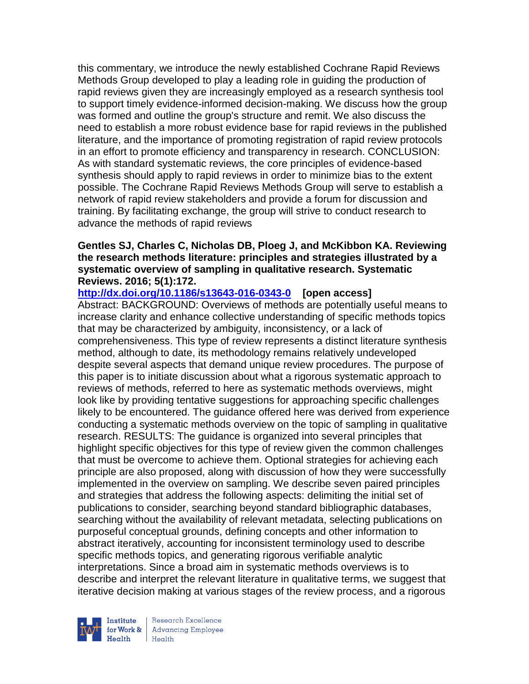this commentary, we introduce the newly established Cochrane Rapid Reviews Methods Group developed to play a leading role in guiding the production of rapid reviews given they are increasingly employed as a research synthesis tool to support timely evidence-informed decision-making. We discuss how the group was formed and outline the group's structure and remit. We also discuss the need to establish a more robust evidence base for rapid reviews in the published literature, and the importance of promoting registration of rapid review protocols in an effort to promote efficiency and transparency in research. CONCLUSION: As with standard systematic reviews, the core principles of evidence-based synthesis should apply to rapid reviews in order to minimize bias to the extent possible. The Cochrane Rapid Reviews Methods Group will serve to establish a network of rapid review stakeholders and provide a forum for discussion and training. By facilitating exchange, the group will strive to conduct research to advance the methods of rapid reviews

#### **Gentles SJ, Charles C, Nicholas DB, Ploeg J, and McKibbon KA. Reviewing the research methods literature: principles and strategies illustrated by a systematic overview of sampling in qualitative research. Systematic Reviews. 2016; 5(1):172.**

**<http://dx.doi.org/10.1186/s13643-016-0343-0>[open access]**

Abstract: BACKGROUND: Overviews of methods are potentially useful means to increase clarity and enhance collective understanding of specific methods topics that may be characterized by ambiguity, inconsistency, or a lack of comprehensiveness. This type of review represents a distinct literature synthesis method, although to date, its methodology remains relatively undeveloped despite several aspects that demand unique review procedures. The purpose of this paper is to initiate discussion about what a rigorous systematic approach to reviews of methods, referred to here as systematic methods overviews, might look like by providing tentative suggestions for approaching specific challenges likely to be encountered. The guidance offered here was derived from experience conducting a systematic methods overview on the topic of sampling in qualitative research. RESULTS: The guidance is organized into several principles that highlight specific objectives for this type of review given the common challenges that must be overcome to achieve them. Optional strategies for achieving each principle are also proposed, along with discussion of how they were successfully implemented in the overview on sampling. We describe seven paired principles and strategies that address the following aspects: delimiting the initial set of publications to consider, searching beyond standard bibliographic databases, searching without the availability of relevant metadata, selecting publications on purposeful conceptual grounds, defining concepts and other information to abstract iteratively, accounting for inconsistent terminology used to describe specific methods topics, and generating rigorous verifiable analytic interpretations. Since a broad aim in systematic methods overviews is to describe and interpret the relevant literature in qualitative terms, we suggest that iterative decision making at various stages of the review process, and a rigorous

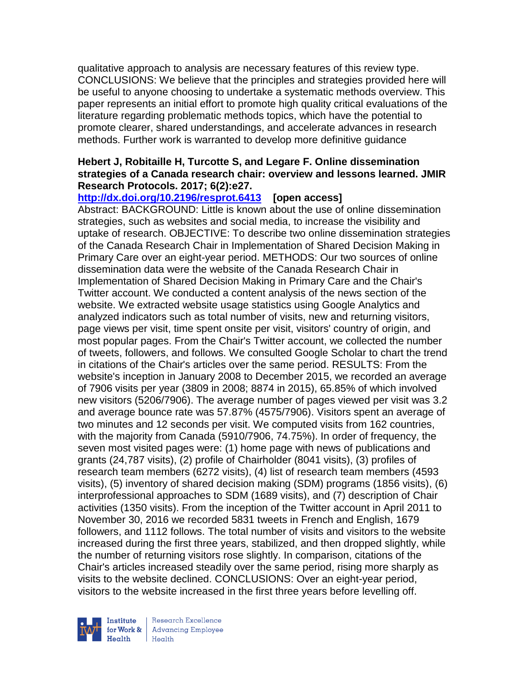qualitative approach to analysis are necessary features of this review type. CONCLUSIONS: We believe that the principles and strategies provided here will be useful to anyone choosing to undertake a systematic methods overview. This paper represents an initial effort to promote high quality critical evaluations of the literature regarding problematic methods topics, which have the potential to promote clearer, shared understandings, and accelerate advances in research methods. Further work is warranted to develop more definitive guidance

#### **Hebert J, Robitaille H, Turcotte S, and Legare F. Online dissemination strategies of a Canada research chair: overview and lessons learned. JMIR Research Protocols. 2017; 6(2):e27.**

#### **<http://dx.doi.org/10.2196/resprot.6413>[open access]**

Abstract: BACKGROUND: Little is known about the use of online dissemination strategies, such as websites and social media, to increase the visibility and uptake of research. OBJECTIVE: To describe two online dissemination strategies of the Canada Research Chair in Implementation of Shared Decision Making in Primary Care over an eight-year period. METHODS: Our two sources of online dissemination data were the website of the Canada Research Chair in Implementation of Shared Decision Making in Primary Care and the Chair's Twitter account. We conducted a content analysis of the news section of the website. We extracted website usage statistics using Google Analytics and analyzed indicators such as total number of visits, new and returning visitors, page views per visit, time spent onsite per visit, visitors' country of origin, and most popular pages. From the Chair's Twitter account, we collected the number of tweets, followers, and follows. We consulted Google Scholar to chart the trend in citations of the Chair's articles over the same period. RESULTS: From the website's inception in January 2008 to December 2015, we recorded an average of 7906 visits per year (3809 in 2008; 8874 in 2015), 65.85% of which involved new visitors (5206/7906). The average number of pages viewed per visit was 3.2 and average bounce rate was 57.87% (4575/7906). Visitors spent an average of two minutes and 12 seconds per visit. We computed visits from 162 countries, with the majority from Canada (5910/7906, 74.75%). In order of frequency, the seven most visited pages were: (1) home page with news of publications and grants (24,787 visits), (2) profile of Chairholder (8041 visits), (3) profiles of research team members (6272 visits), (4) list of research team members (4593 visits), (5) inventory of shared decision making (SDM) programs (1856 visits), (6) interprofessional approaches to SDM (1689 visits), and (7) description of Chair activities (1350 visits). From the inception of the Twitter account in April 2011 to November 30, 2016 we recorded 5831 tweets in French and English, 1679 followers, and 1112 follows. The total number of visits and visitors to the website increased during the first three years, stabilized, and then dropped slightly, while the number of returning visitors rose slightly. In comparison, citations of the Chair's articles increased steadily over the same period, rising more sharply as visits to the website declined. CONCLUSIONS: Over an eight-year period, visitors to the website increased in the first three years before levelling off.

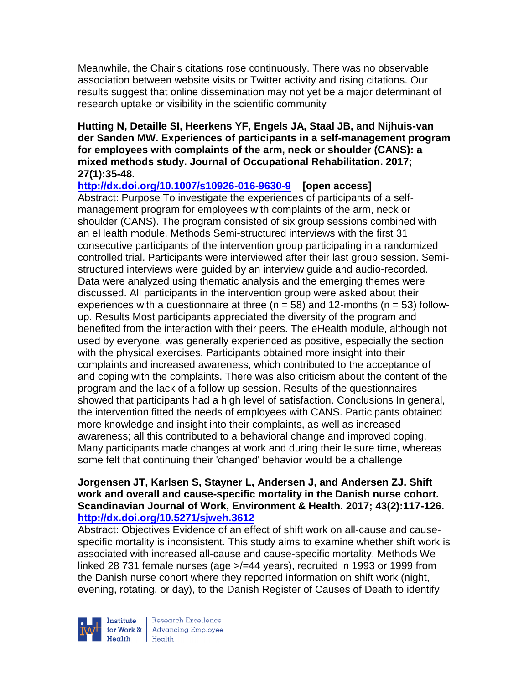Meanwhile, the Chair's citations rose continuously. There was no observable association between website visits or Twitter activity and rising citations. Our results suggest that online dissemination may not yet be a major determinant of research uptake or visibility in the scientific community

**Hutting N, Detaille SI, Heerkens YF, Engels JA, Staal JB, and Nijhuis-van der Sanden MW. Experiences of participants in a self-management program for employees with complaints of the arm, neck or shoulder (CANS): a mixed methods study. Journal of Occupational Rehabilitation. 2017; 27(1):35-48.** 

**<http://dx.doi.org/10.1007/s10926-016-9630-9>[open access]**

Abstract: Purpose To investigate the experiences of participants of a selfmanagement program for employees with complaints of the arm, neck or shoulder (CANS). The program consisted of six group sessions combined with an eHealth module. Methods Semi-structured interviews with the first 31 consecutive participants of the intervention group participating in a randomized controlled trial. Participants were interviewed after their last group session. Semistructured interviews were guided by an interview guide and audio-recorded. Data were analyzed using thematic analysis and the emerging themes were discussed. All participants in the intervention group were asked about their experiences with a questionnaire at three ( $n = 58$ ) and 12-months ( $n = 53$ ) followup. Results Most participants appreciated the diversity of the program and benefited from the interaction with their peers. The eHealth module, although not used by everyone, was generally experienced as positive, especially the section with the physical exercises. Participants obtained more insight into their complaints and increased awareness, which contributed to the acceptance of and coping with the complaints. There was also criticism about the content of the program and the lack of a follow-up session. Results of the questionnaires showed that participants had a high level of satisfaction. Conclusions In general, the intervention fitted the needs of employees with CANS. Participants obtained more knowledge and insight into their complaints, as well as increased awareness; all this contributed to a behavioral change and improved coping. Many participants made changes at work and during their leisure time, whereas some felt that continuing their 'changed' behavior would be a challenge

#### **Jorgensen JT, Karlsen S, Stayner L, Andersen J, and Andersen ZJ. Shift work and overall and cause-specific mortality in the Danish nurse cohort. Scandinavian Journal of Work, Environment & Health. 2017; 43(2):117-126. <http://dx.doi.org/10.5271/sjweh.3612>**

Abstract: Objectives Evidence of an effect of shift work on all-cause and causespecific mortality is inconsistent. This study aims to examine whether shift work is associated with increased all-cause and cause-specific mortality. Methods We linked 28 731 female nurses (age >/=44 years), recruited in 1993 or 1999 from the Danish nurse cohort where they reported information on shift work (night, evening, rotating, or day), to the Danish Register of Causes of Death to identify



Research Excellence for Work & Advancing Employee  $H_{\text{eath}}$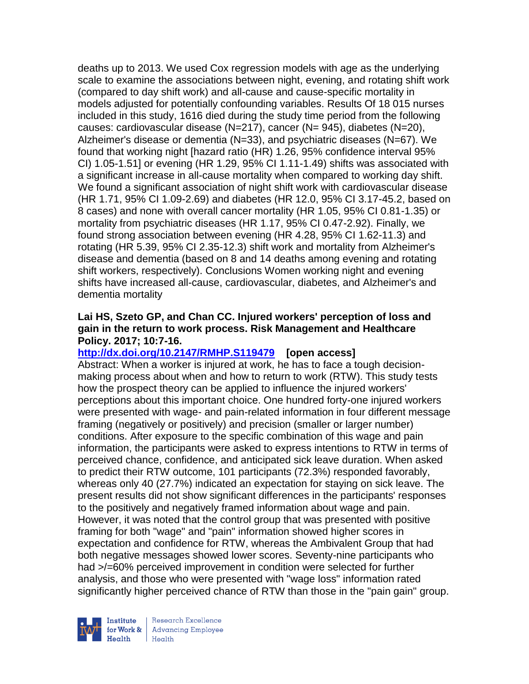deaths up to 2013. We used Cox regression models with age as the underlying scale to examine the associations between night, evening, and rotating shift work (compared to day shift work) and all-cause and cause-specific mortality in models adjusted for potentially confounding variables. Results Of 18 015 nurses included in this study, 1616 died during the study time period from the following causes: cardiovascular disease (N=217), cancer (N= 945), diabetes (N=20), Alzheimer's disease or dementia (N=33), and psychiatric diseases (N=67). We found that working night [hazard ratio (HR) 1.26, 95% confidence interval 95% CI) 1.05-1.51] or evening (HR 1.29, 95% CI 1.11-1.49) shifts was associated with a significant increase in all-cause mortality when compared to working day shift. We found a significant association of night shift work with cardiovascular disease (HR 1.71, 95% CI 1.09-2.69) and diabetes (HR 12.0, 95% CI 3.17-45.2, based on 8 cases) and none with overall cancer mortality (HR 1.05, 95% CI 0.81-1.35) or mortality from psychiatric diseases (HR 1.17, 95% CI 0.47-2.92). Finally, we found strong association between evening (HR 4.28, 95% CI 1.62-11.3) and rotating (HR 5.39, 95% CI 2.35-12.3) shift work and mortality from Alzheimer's disease and dementia (based on 8 and 14 deaths among evening and rotating shift workers, respectively). Conclusions Women working night and evening shifts have increased all-cause, cardiovascular, diabetes, and Alzheimer's and dementia mortality

#### **Lai HS, Szeto GP, and Chan CC. Injured workers' perception of loss and gain in the return to work process. Risk Management and Healthcare Policy. 2017; 10:7-16.**

#### **<http://dx.doi.org/10.2147/RMHP.S119479>[open access]**

Abstract: When a worker is injured at work, he has to face a tough decisionmaking process about when and how to return to work (RTW). This study tests how the prospect theory can be applied to influence the injured workers' perceptions about this important choice. One hundred forty-one injured workers were presented with wage- and pain-related information in four different message framing (negatively or positively) and precision (smaller or larger number) conditions. After exposure to the specific combination of this wage and pain information, the participants were asked to express intentions to RTW in terms of perceived chance, confidence, and anticipated sick leave duration. When asked to predict their RTW outcome, 101 participants (72.3%) responded favorably, whereas only 40 (27.7%) indicated an expectation for staying on sick leave. The present results did not show significant differences in the participants' responses to the positively and negatively framed information about wage and pain. However, it was noted that the control group that was presented with positive framing for both "wage" and "pain" information showed higher scores in expectation and confidence for RTW, whereas the Ambivalent Group that had both negative messages showed lower scores. Seventy-nine participants who had >/=60% perceived improvement in condition were selected for further analysis, and those who were presented with "wage loss" information rated significantly higher perceived chance of RTW than those in the "pain gain" group.

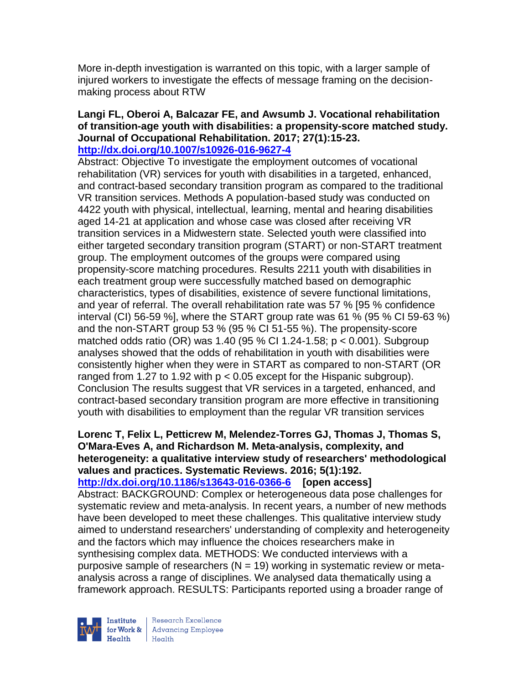More in-depth investigation is warranted on this topic, with a larger sample of injured workers to investigate the effects of message framing on the decisionmaking process about RTW

#### **Langi FL, Oberoi A, Balcazar FE, and Awsumb J. Vocational rehabilitation of transition-age youth with disabilities: a propensity-score matched study. Journal of Occupational Rehabilitation. 2017; 27(1):15-23. <http://dx.doi.org/10.1007/s10926-016-9627-4>**

Abstract: Objective To investigate the employment outcomes of vocational rehabilitation (VR) services for youth with disabilities in a targeted, enhanced, and contract-based secondary transition program as compared to the traditional VR transition services. Methods A population-based study was conducted on 4422 youth with physical, intellectual, learning, mental and hearing disabilities aged 14-21 at application and whose case was closed after receiving VR transition services in a Midwestern state. Selected youth were classified into either targeted secondary transition program (START) or non-START treatment group. The employment outcomes of the groups were compared using propensity-score matching procedures. Results 2211 youth with disabilities in each treatment group were successfully matched based on demographic characteristics, types of disabilities, existence of severe functional limitations, and year of referral. The overall rehabilitation rate was 57 % [95 % confidence interval (CI) 56-59 %], where the START group rate was 61 % (95 % CI 59-63 %) and the non-START group 53 % (95 % CI 51-55 %). The propensity-score matched odds ratio (OR) was 1.40 (95 % CI 1.24-1.58; p < 0.001). Subgroup analyses showed that the odds of rehabilitation in youth with disabilities were consistently higher when they were in START as compared to non-START (OR ranged from 1.27 to 1.92 with  $p < 0.05$  except for the Hispanic subgroup). Conclusion The results suggest that VR services in a targeted, enhanced, and contract-based secondary transition program are more effective in transitioning youth with disabilities to employment than the regular VR transition services

**Lorenc T, Felix L, Petticrew M, Melendez-Torres GJ, Thomas J, Thomas S, O'Mara-Eves A, and Richardson M. Meta-analysis, complexity, and heterogeneity: a qualitative interview study of researchers' methodological values and practices. Systematic Reviews. 2016; 5(1):192. <http://dx.doi.org/10.1186/s13643-016-0366-6>[open access]** Abstract: BACKGROUND: Complex or heterogeneous data pose challenges for systematic review and meta-analysis. In recent years, a number of new methods have been developed to meet these challenges. This qualitative interview study aimed to understand researchers' understanding of complexity and heterogeneity and the factors which may influence the choices researchers make in synthesising complex data. METHODS: We conducted interviews with a purposive sample of researchers ( $N = 19$ ) working in systematic review or metaanalysis across a range of disciplines. We analysed data thematically using a framework approach. RESULTS: Participants reported using a broader range of

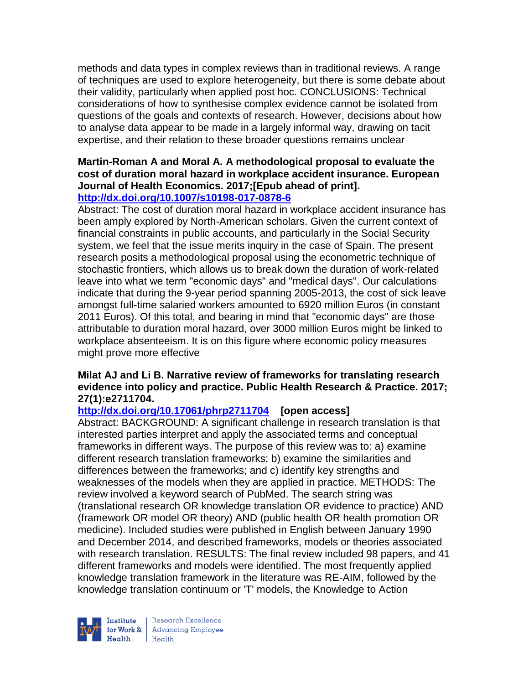methods and data types in complex reviews than in traditional reviews. A range of techniques are used to explore heterogeneity, but there is some debate about their validity, particularly when applied post hoc. CONCLUSIONS: Technical considerations of how to synthesise complex evidence cannot be isolated from questions of the goals and contexts of research. However, decisions about how to analyse data appear to be made in a largely informal way, drawing on tacit expertise, and their relation to these broader questions remains unclear

#### **Martin-Roman A and Moral A. A methodological proposal to evaluate the cost of duration moral hazard in workplace accident insurance. European Journal of Health Economics. 2017;[Epub ahead of print]. <http://dx.doi.org/10.1007/s10198-017-0878-6>**

Abstract: The cost of duration moral hazard in workplace accident insurance has been amply explored by North-American scholars. Given the current context of financial constraints in public accounts, and particularly in the Social Security system, we feel that the issue merits inquiry in the case of Spain. The present research posits a methodological proposal using the econometric technique of stochastic frontiers, which allows us to break down the duration of work-related leave into what we term "economic days" and "medical days". Our calculations indicate that during the 9-year period spanning 2005-2013, the cost of sick leave amongst full-time salaried workers amounted to 6920 million Euros (in constant 2011 Euros). Of this total, and bearing in mind that "economic days" are those attributable to duration moral hazard, over 3000 million Euros might be linked to workplace absenteeism. It is on this figure where economic policy measures might prove more effective

#### **Milat AJ and Li B. Narrative review of frameworks for translating research evidence into policy and practice. Public Health Research & Practice. 2017; 27(1):e2711704.**

#### **<http://dx.doi.org/10.17061/phrp2711704>[open access]**

Abstract: BACKGROUND: A significant challenge in research translation is that interested parties interpret and apply the associated terms and conceptual frameworks in different ways. The purpose of this review was to: a) examine different research translation frameworks; b) examine the similarities and differences between the frameworks; and c) identify key strengths and weaknesses of the models when they are applied in practice. METHODS: The review involved a keyword search of PubMed. The search string was (translational research OR knowledge translation OR evidence to practice) AND (framework OR model OR theory) AND (public health OR health promotion OR medicine). Included studies were published in English between January 1990 and December 2014, and described frameworks, models or theories associated with research translation. RESULTS: The final review included 98 papers, and 41 different frameworks and models were identified. The most frequently applied knowledge translation framework in the literature was RE-AIM, followed by the knowledge translation continuum or 'T' models, the Knowledge to Action



Research Excellence for Work & Advancing Employee<br>Health Health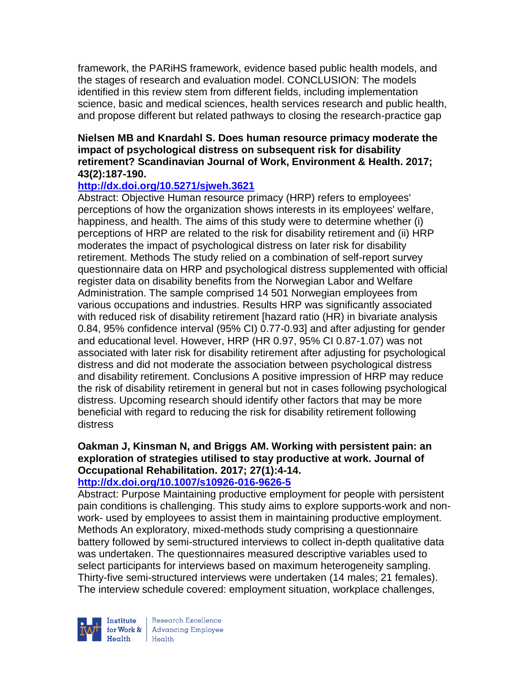framework, the PARiHS framework, evidence based public health models, and the stages of research and evaluation model. CONCLUSION: The models identified in this review stem from different fields, including implementation science, basic and medical sciences, health services research and public health, and propose different but related pathways to closing the research-practice gap

#### **Nielsen MB and Knardahl S. Does human resource primacy moderate the impact of psychological distress on subsequent risk for disability retirement? Scandinavian Journal of Work, Environment & Health. 2017; 43(2):187-190.**

#### **<http://dx.doi.org/10.5271/sjweh.3621>**

Abstract: Objective Human resource primacy (HRP) refers to employees' perceptions of how the organization shows interests in its employees' welfare, happiness, and health. The aims of this study were to determine whether (i) perceptions of HRP are related to the risk for disability retirement and (ii) HRP moderates the impact of psychological distress on later risk for disability retirement. Methods The study relied on a combination of self-report survey questionnaire data on HRP and psychological distress supplemented with official register data on disability benefits from the Norwegian Labor and Welfare Administration. The sample comprised 14 501 Norwegian employees from various occupations and industries. Results HRP was significantly associated with reduced risk of disability retirement [hazard ratio (HR) in bivariate analysis 0.84, 95% confidence interval (95% CI) 0.77-0.93] and after adjusting for gender and educational level. However, HRP (HR 0.97, 95% CI 0.87-1.07) was not associated with later risk for disability retirement after adjusting for psychological distress and did not moderate the association between psychological distress and disability retirement. Conclusions A positive impression of HRP may reduce the risk of disability retirement in general but not in cases following psychological distress. Upcoming research should identify other factors that may be more beneficial with regard to reducing the risk for disability retirement following distress

# **Oakman J, Kinsman N, and Briggs AM. Working with persistent pain: an exploration of strategies utilised to stay productive at work. Journal of Occupational Rehabilitation. 2017; 27(1):4-14.**

# **<http://dx.doi.org/10.1007/s10926-016-9626-5>**

Abstract: Purpose Maintaining productive employment for people with persistent pain conditions is challenging. This study aims to explore supports-work and nonwork- used by employees to assist them in maintaining productive employment. Methods An exploratory, mixed-methods study comprising a questionnaire battery followed by semi-structured interviews to collect in-depth qualitative data was undertaken. The questionnaires measured descriptive variables used to select participants for interviews based on maximum heterogeneity sampling. Thirty-five semi-structured interviews were undertaken (14 males; 21 females). The interview schedule covered: employment situation, workplace challenges,

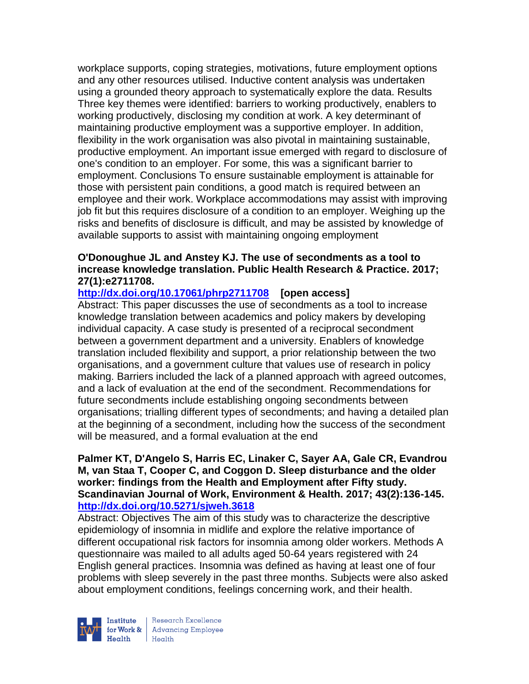workplace supports, coping strategies, motivations, future employment options and any other resources utilised. Inductive content analysis was undertaken using a grounded theory approach to systematically explore the data. Results Three key themes were identified: barriers to working productively, enablers to working productively, disclosing my condition at work. A key determinant of maintaining productive employment was a supportive employer. In addition, flexibility in the work organisation was also pivotal in maintaining sustainable, productive employment. An important issue emerged with regard to disclosure of one's condition to an employer. For some, this was a significant barrier to employment. Conclusions To ensure sustainable employment is attainable for those with persistent pain conditions, a good match is required between an employee and their work. Workplace accommodations may assist with improving job fit but this requires disclosure of a condition to an employer. Weighing up the risks and benefits of disclosure is difficult, and may be assisted by knowledge of available supports to assist with maintaining ongoing employment

#### **O'Donoughue JL and Anstey KJ. The use of secondments as a tool to increase knowledge translation. Public Health Research & Practice. 2017; 27(1):e2711708.**

**<http://dx.doi.org/10.17061/phrp2711708>[open access]**

Abstract: This paper discusses the use of secondments as a tool to increase knowledge translation between academics and policy makers by developing individual capacity. A case study is presented of a reciprocal secondment between a government department and a university. Enablers of knowledge translation included flexibility and support, a prior relationship between the two organisations, and a government culture that values use of research in policy making. Barriers included the lack of a planned approach with agreed outcomes, and a lack of evaluation at the end of the secondment. Recommendations for future secondments include establishing ongoing secondments between organisations; trialling different types of secondments; and having a detailed plan at the beginning of a secondment, including how the success of the secondment will be measured, and a formal evaluation at the end

#### **Palmer KT, D'Angelo S, Harris EC, Linaker C, Sayer AA, Gale CR, Evandrou M, van Staa T, Cooper C, and Coggon D. Sleep disturbance and the older worker: findings from the Health and Employment after Fifty study. Scandinavian Journal of Work, Environment & Health. 2017; 43(2):136-145. <http://dx.doi.org/10.5271/sjweh.3618>**

Abstract: Objectives The aim of this study was to characterize the descriptive epidemiology of insomnia in midlife and explore the relative importance of different occupational risk factors for insomnia among older workers. Methods A questionnaire was mailed to all adults aged 50-64 years registered with 24 English general practices. Insomnia was defined as having at least one of four problems with sleep severely in the past three months. Subjects were also asked about employment conditions, feelings concerning work, and their health.

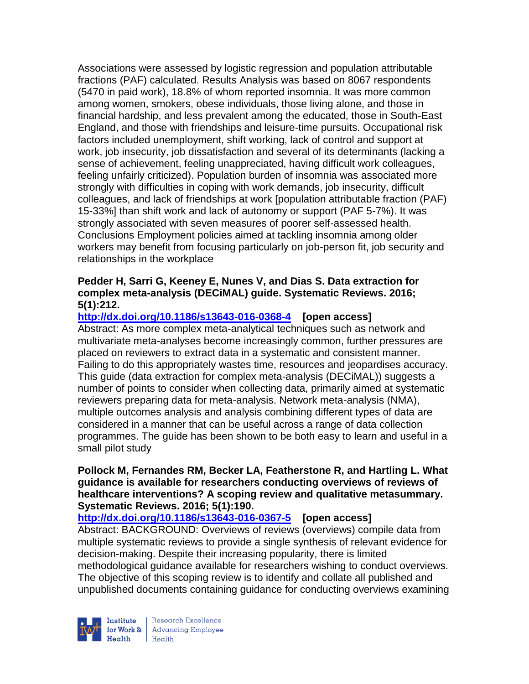Associations were assessed by logistic regression and population attributable fractions (PAF) calculated. Results Analysis was based on 8067 respondents (5470 in paid work), 18.8% of whom reported insomnia. It was more common among women, smokers, obese individuals, those living alone, and those in financial hardship, and less prevalent among the educated, those in South-East England, and those with friendships and leisure-time pursuits. Occupational risk factors included unemployment, shift working, lack of control and support at work, job insecurity, job dissatisfaction and several of its determinants (lacking a sense of achievement, feeling unappreciated, having difficult work colleagues, feeling unfairly criticized). Population burden of insomnia was associated more strongly with difficulties in coping with work demands, job insecurity, difficult colleagues, and lack of friendships at work [population attributable fraction (PAF) 15-33%] than shift work and lack of autonomy or support (PAF 5-7%). It was strongly associated with seven measures of poorer self-assessed health. Conclusions Employment policies aimed at tackling insomnia among older workers may benefit from focusing particularly on job-person fit, job security and relationships in the workplace

#### **Pedder H, Sarri G, Keeney E, Nunes V, and Dias S. Data extraction for complex meta-analysis (DECiMAL) guide. Systematic Reviews. 2016; 5(1):212.**

# **<http://dx.doi.org/10.1186/s13643-016-0368-4>[open access]**

Abstract: As more complex meta-analytical techniques such as network and multivariate meta-analyses become increasingly common, further pressures are placed on reviewers to extract data in a systematic and consistent manner. Failing to do this appropriately wastes time, resources and jeopardises accuracy. This guide (data extraction for complex meta-analysis (DECiMAL)) suggests a number of points to consider when collecting data, primarily aimed at systematic reviewers preparing data for meta-analysis. Network meta-analysis (NMA), multiple outcomes analysis and analysis combining different types of data are considered in a manner that can be useful across a range of data collection programmes. The guide has been shown to be both easy to learn and useful in a small pilot study

#### **Pollock M, Fernandes RM, Becker LA, Featherstone R, and Hartling L. What guidance is available for researchers conducting overviews of reviews of healthcare interventions? A scoping review and qualitative metasummary. Systematic Reviews. 2016; 5(1):190.**

**<http://dx.doi.org/10.1186/s13643-016-0367-5>[open access]**

Abstract: BACKGROUND: Overviews of reviews (overviews) compile data from multiple systematic reviews to provide a single synthesis of relevant evidence for decision-making. Despite their increasing popularity, there is limited methodological guidance available for researchers wishing to conduct overviews. The objective of this scoping review is to identify and collate all published and unpublished documents containing guidance for conducting overviews examining

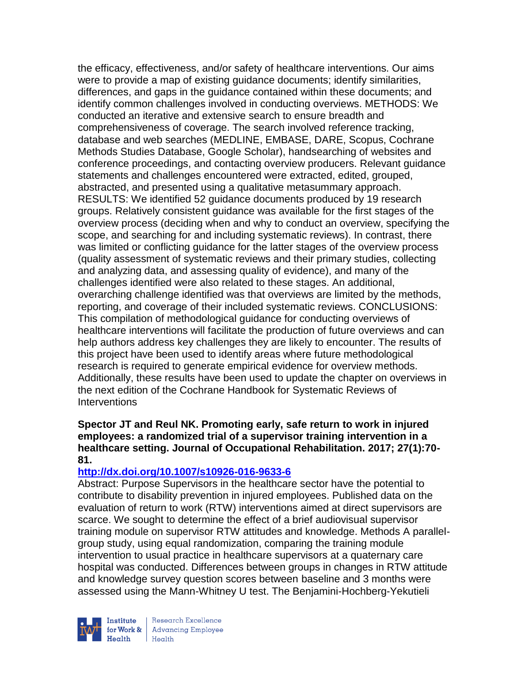the efficacy, effectiveness, and/or safety of healthcare interventions. Our aims were to provide a map of existing guidance documents; identify similarities, differences, and gaps in the guidance contained within these documents; and identify common challenges involved in conducting overviews. METHODS: We conducted an iterative and extensive search to ensure breadth and comprehensiveness of coverage. The search involved reference tracking, database and web searches (MEDLINE, EMBASE, DARE, Scopus, Cochrane Methods Studies Database, Google Scholar), handsearching of websites and conference proceedings, and contacting overview producers. Relevant guidance statements and challenges encountered were extracted, edited, grouped, abstracted, and presented using a qualitative metasummary approach. RESULTS: We identified 52 guidance documents produced by 19 research groups. Relatively consistent guidance was available for the first stages of the overview process (deciding when and why to conduct an overview, specifying the scope, and searching for and including systematic reviews). In contrast, there was limited or conflicting guidance for the latter stages of the overview process (quality assessment of systematic reviews and their primary studies, collecting and analyzing data, and assessing quality of evidence), and many of the challenges identified were also related to these stages. An additional, overarching challenge identified was that overviews are limited by the methods, reporting, and coverage of their included systematic reviews. CONCLUSIONS: This compilation of methodological guidance for conducting overviews of healthcare interventions will facilitate the production of future overviews and can help authors address key challenges they are likely to encounter. The results of this project have been used to identify areas where future methodological research is required to generate empirical evidence for overview methods. Additionally, these results have been used to update the chapter on overviews in the next edition of the Cochrane Handbook for Systematic Reviews of Interventions

#### **Spector JT and Reul NK. Promoting early, safe return to work in injured employees: a randomized trial of a supervisor training intervention in a healthcare setting. Journal of Occupational Rehabilitation. 2017; 27(1):70- 81.**

#### **<http://dx.doi.org/10.1007/s10926-016-9633-6>**

Abstract: Purpose Supervisors in the healthcare sector have the potential to contribute to disability prevention in injured employees. Published data on the evaluation of return to work (RTW) interventions aimed at direct supervisors are scarce. We sought to determine the effect of a brief audiovisual supervisor training module on supervisor RTW attitudes and knowledge. Methods A parallelgroup study, using equal randomization, comparing the training module intervention to usual practice in healthcare supervisors at a quaternary care hospital was conducted. Differences between groups in changes in RTW attitude and knowledge survey question scores between baseline and 3 months were assessed using the Mann-Whitney U test. The Benjamini-Hochberg-Yekutieli



Research Excellence for Work & Advancing Employee<br>Health Health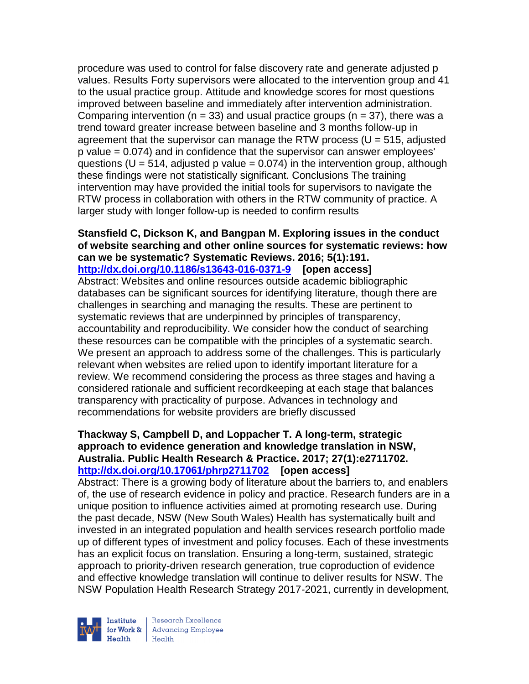procedure was used to control for false discovery rate and generate adjusted p values. Results Forty supervisors were allocated to the intervention group and 41 to the usual practice group. Attitude and knowledge scores for most questions improved between baseline and immediately after intervention administration. Comparing intervention ( $n = 33$ ) and usual practice groups ( $n = 37$ ), there was a trend toward greater increase between baseline and 3 months follow-up in agreement that the supervisor can manage the RTW process ( $U = 515$ , adjusted p value = 0.074) and in confidence that the supervisor can answer employees' questions (U = 514, adjusted p value =  $0.074$ ) in the intervention group, although these findings were not statistically significant. Conclusions The training intervention may have provided the initial tools for supervisors to navigate the RTW process in collaboration with others in the RTW community of practice. A larger study with longer follow-up is needed to confirm results

**Stansfield C, Dickson K, and Bangpan M. Exploring issues in the conduct of website searching and other online sources for systematic reviews: how can we be systematic? Systematic Reviews. 2016; 5(1):191. <http://dx.doi.org/10.1186/s13643-016-0371-9>[open access]** Abstract: Websites and online resources outside academic bibliographic databases can be significant sources for identifying literature, though there are challenges in searching and managing the results. These are pertinent to systematic reviews that are underpinned by principles of transparency, accountability and reproducibility. We consider how the conduct of searching these resources can be compatible with the principles of a systematic search. We present an approach to address some of the challenges. This is particularly relevant when websites are relied upon to identify important literature for a review. We recommend considering the process as three stages and having a considered rationale and sufficient recordkeeping at each stage that balances transparency with practicality of purpose. Advances in technology and recommendations for website providers are briefly discussed

#### **Thackway S, Campbell D, and Loppacher T. A long-term, strategic approach to evidence generation and knowledge translation in NSW, Australia. Public Health Research & Practice. 2017; 27(1):e2711702. <http://dx.doi.org/10.17061/phrp2711702>[open access]**

Abstract: There is a growing body of literature about the barriers to, and enablers of, the use of research evidence in policy and practice. Research funders are in a unique position to influence activities aimed at promoting research use. During the past decade, NSW (New South Wales) Health has systematically built and invested in an integrated population and health services research portfolio made up of different types of investment and policy focuses. Each of these investments has an explicit focus on translation. Ensuring a long-term, sustained, strategic approach to priority-driven research generation, true coproduction of evidence and effective knowledge translation will continue to deliver results for NSW. The NSW Population Health Research Strategy 2017-2021, currently in development,



Institute Research Excellence<br>
for Work & Advancing Employee<br>
Health Health  $H_{\text{eath}}$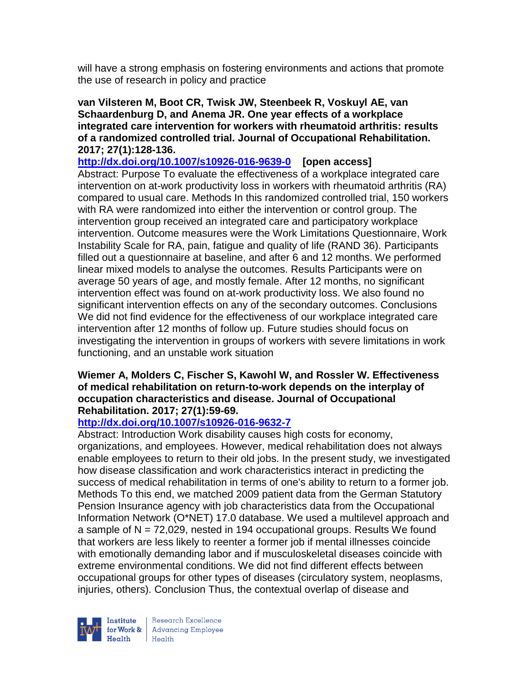will have a strong emphasis on fostering environments and actions that promote the use of research in policy and practice

**van Vilsteren M, Boot CR, Twisk JW, Steenbeek R, Voskuyl AE, van Schaardenburg D, and Anema JR. One year effects of a workplace integrated care intervention for workers with rheumatoid arthritis: results of a randomized controlled trial. Journal of Occupational Rehabilitation. 2017; 27(1):128-136.** 

**<http://dx.doi.org/10.1007/s10926-016-9639-0>[open access]** Abstract: Purpose To evaluate the effectiveness of a workplace integrated care intervention on at-work productivity loss in workers with rheumatoid arthritis (RA) compared to usual care. Methods In this randomized controlled trial, 150 workers with RA were randomized into either the intervention or control group. The intervention group received an integrated care and participatory workplace intervention. Outcome measures were the Work Limitations Questionnaire, Work Instability Scale for RA, pain, fatigue and quality of life (RAND 36). Participants filled out a questionnaire at baseline, and after 6 and 12 months. We performed linear mixed models to analyse the outcomes. Results Participants were on average 50 years of age, and mostly female. After 12 months, no significant intervention effect was found on at-work productivity loss. We also found no significant intervention effects on any of the secondary outcomes. Conclusions We did not find evidence for the effectiveness of our workplace integrated care intervention after 12 months of follow up. Future studies should focus on investigating the intervention in groups of workers with severe limitations in work functioning, and an unstable work situation

#### **Wiemer A, Molders C, Fischer S, Kawohl W, and Rossler W. Effectiveness of medical rehabilitation on return-to-work depends on the interplay of occupation characteristics and disease. Journal of Occupational Rehabilitation. 2017; 27(1):59-69.**

# **<http://dx.doi.org/10.1007/s10926-016-9632-7>**

Abstract: Introduction Work disability causes high costs for economy, organizations, and employees. However, medical rehabilitation does not always enable employees to return to their old jobs. In the present study, we investigated how disease classification and work characteristics interact in predicting the success of medical rehabilitation in terms of one's ability to return to a former job. Methods To this end, we matched 2009 patient data from the German Statutory Pension Insurance agency with job characteristics data from the Occupational Information Network (O\*NET) 17.0 database. We used a multilevel approach and a sample of N = 72,029, nested in 194 occupational groups. Results We found that workers are less likely to reenter a former job if mental illnesses coincide with emotionally demanding labor and if musculoskeletal diseases coincide with extreme environmental conditions. We did not find different effects between occupational groups for other types of diseases (circulatory system, neoplasms, injuries, others). Conclusion Thus, the contextual overlap of disease and



Research Excellence **Example 3** Advancing Employee  $H_{\text{eath}}$